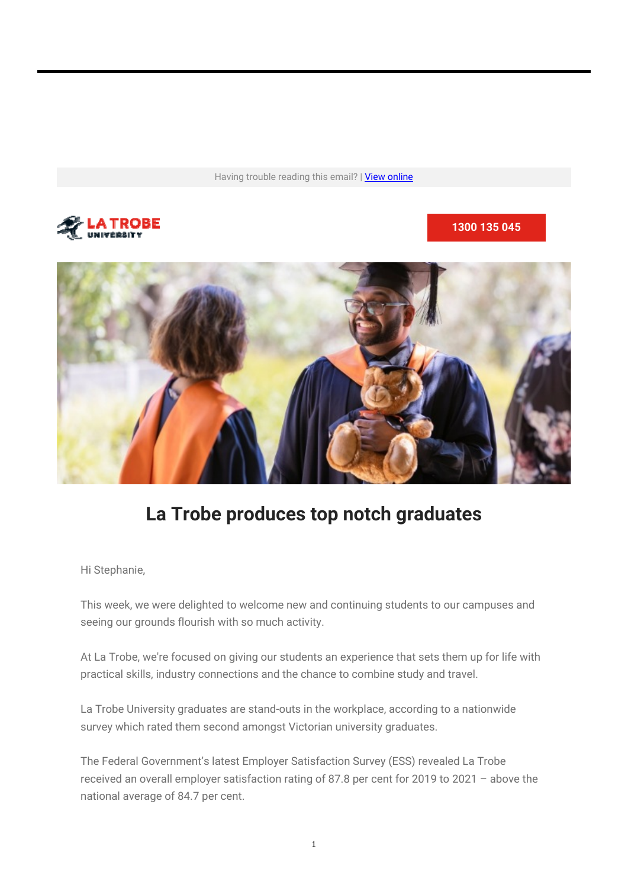Having trouble reading this email? | View online



**1300 135 045**



# **La Trobe produces top notch graduates**

Hi Stephanie,

This week, we were delighted to welcome new and continuing students to our campuses and seeing our grounds flourish with so much activity.

At La Trobe, we're focused on giving our students an experience that sets them up for life with practical skills, industry connections and the chance to combine study and travel.

La Trobe University graduates are stand-outs in the workplace, according to a nationwide survey which rated them second amongst Victorian university graduates.

The Federal Government's latest Employer Satisfaction Survey (ESS) revealed La Trobe received an overall employer satisfaction rating of 87.8 per cent for 2019 to 2021 – above the national average of 84.7 per cent.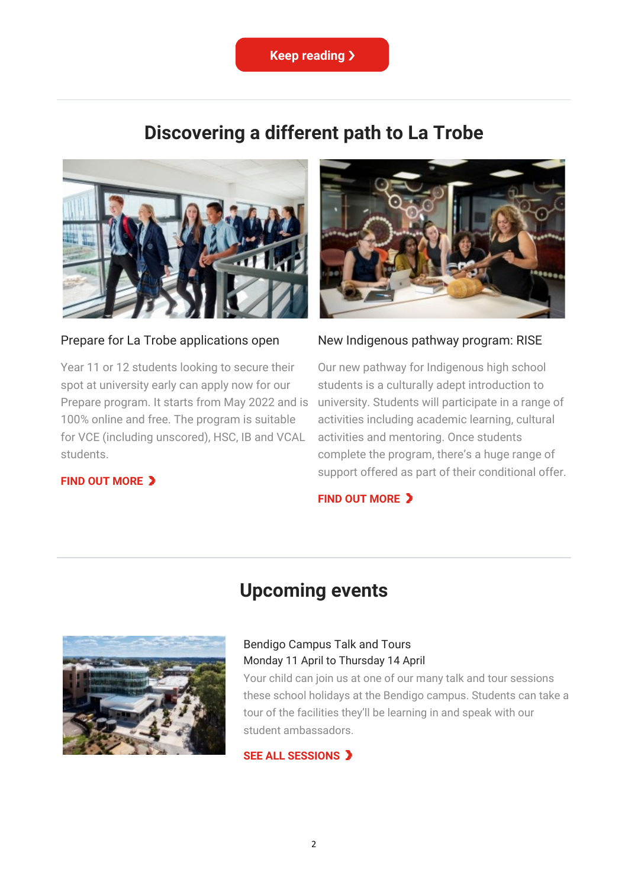

## **Discovering a different path to La Trobe**



#### Prepare for La Trobe applications open

Year 11 or 12 students looking to secure their spot at university early can apply now for our Prepare program. It starts from May 2022 and is 100% online and free. The program is suitable for VCE (including unscored), HSC, IB and VCAL students.



#### New Indigenous pathway program: RISE

Our new pathway for Indigenous high school students is a culturally adept introduction to university. Students will participate in a range of activities including academic learning, cultural activities and mentoring. Once students complete the program, there's a huge range of support offered as part of their conditional offer.

#### **FIND OUT MORE**

#### **FIND OUT MORE**



# **Upcoming events**

#### Bendigo Campus Talk and Tours Monday 11 April to Thursday 14 April

Your child can join us at one of our many talk and tour sessions these school holidays at the Bendigo campus. Students can take a tour of the facilities they'll be learning in and speak with our student ambassadors.

#### **SEE ALL SESSIONS**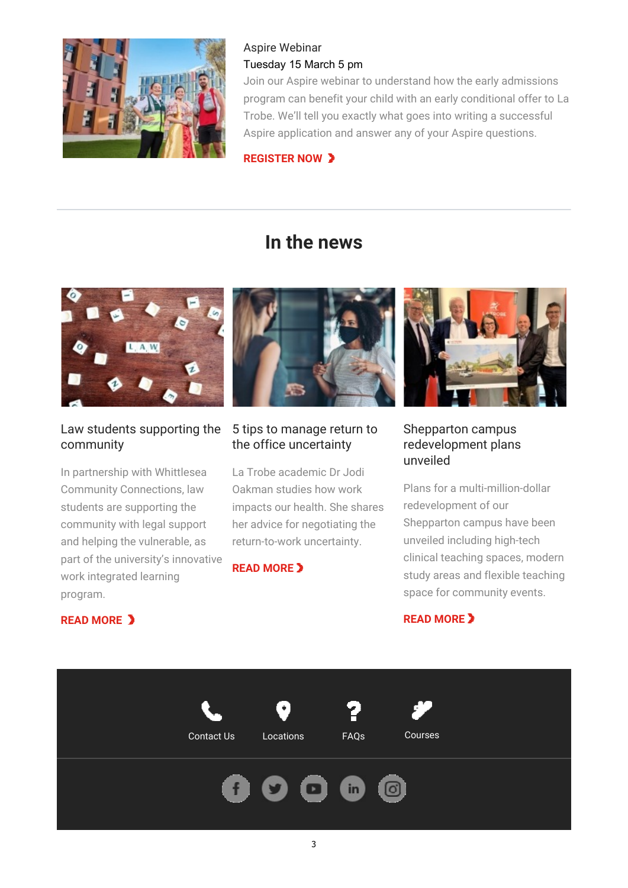

### Aspire Webinar Tuesday 15 March 5 pm

Join our Aspire webinar to understand how the early admissions program can benefit your child with an early conditional offer to La Trobe. We'll tell you exactly what goes into writing a successful Aspire application and answer any of your Aspire questions.

**REGISTER NOW** 

# **In the news**



### Law students supporting the community

In partnership with Whittlesea Community Connections, law students are supporting the community with legal support and helping the vulnerable, as part of the university's innovative work integrated learning program.

**READ MORE** 



## 5 tips to manage return to the office uncertainty

La Trobe academic Dr Jodi Oakman studies how work impacts our health. She shares her advice for negotiating the return-to-work uncertainty.

### **READ MORE**



### Shepparton campus redevelopment plans unveiled

Plans for a multi-million-dollar redevelopment of our Shepparton campus have been unveiled including high-tech clinical teaching spaces, modern study areas and flexible teaching space for community events.

### **READ MORE**